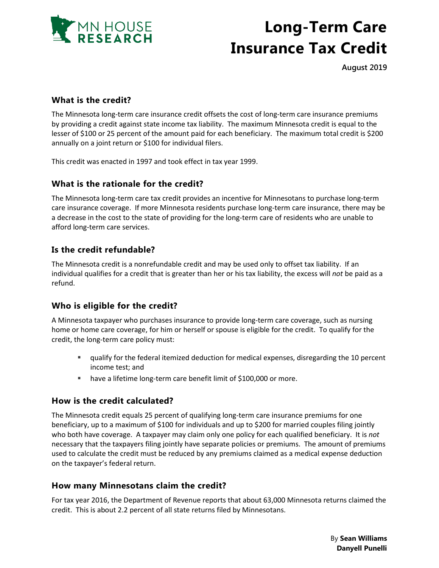

# **Long-Term Care Insurance Tax Credit**

**August 2019**

## **What is the credit?**

The Minnesota long-term care insurance credit offsets the cost of long-term care insurance premiums by providing a credit against state income tax liability. The maximum Minnesota credit is equal to the lesser of \$100 or 25 percent of the amount paid for each beneficiary. The maximum total credit is \$200 annually on a joint return or \$100 for individual filers.

This credit was enacted in 1997 and took effect in tax year 1999.

### **What is the rationale for the credit?**

The Minnesota long-term care tax credit provides an incentive for Minnesotans to purchase long-term care insurance coverage. If more Minnesota residents purchase long-term care insurance, there may be a decrease in the cost to the state of providing for the long-term care of residents who are unable to afford long-term care services.

## **Is the credit refundable?**

The Minnesota credit is a nonrefundable credit and may be used only to offset tax liability. If an individual qualifies for a credit that is greater than her or his tax liability, the excess will *not* be paid as a refund.

### **Who is eligible for the credit?**

A Minnesota taxpayer who purchases insurance to provide long-term care coverage, such as nursing home or home care coverage, for him or herself or spouse is eligible for the credit. To qualify for the credit, the long-term care policy must:

- qualify for the federal itemized deduction for medical expenses, disregarding the 10 percent income test; and
- **•** have a lifetime long-term care benefit limit of \$100,000 or more.

### **How is the credit calculated?**

The Minnesota credit equals 25 percent of qualifying long-term care insurance premiums for one beneficiary, up to a maximum of \$100 for individuals and up to \$200 for married couples filing jointly who both have coverage. A taxpayer may claim only one policy for each qualified beneficiary. It is *not* necessary that the taxpayers filing jointly have separate policies or premiums. The amount of premiums used to calculate the credit must be reduced by any premiums claimed as a medical expense deduction on the taxpayer's federal return.

### **How many Minnesotans claim the credit?**

For tax year 2016, the Department of Revenue reports that about 63,000 Minnesota returns claimed the credit. This is about 2.2 percent of all state returns filed by Minnesotans.